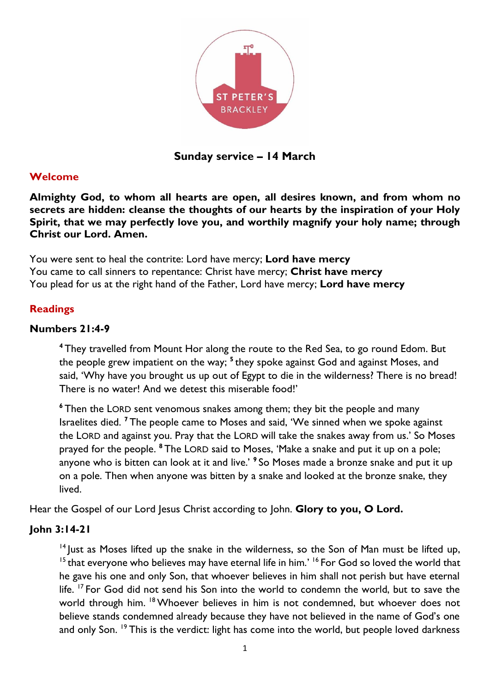

**Sunday service – 14 March**

#### **Welcome**

**Almighty God, to whom all hearts are open, all desires known, and from whom no secrets are hidden: cleanse the thoughts of our hearts by the inspiration of your Holy Spirit, that we may perfectly love you, and worthily magnify your holy name; through Christ our Lord. Amen.**

You were sent to heal the contrite: Lord have mercy; **Lord have mercy** You came to call sinners to repentance: Christ have mercy; **Christ have mercy** You plead for us at the right hand of the Father, Lord have mercy; **Lord have mercy**

#### **Readings**

#### **Numbers 21:4-9**

**<sup>4</sup>** They travelled from Mount Hor along the route to the Red Sea, to go round Edom. But the people grew impatient on the way; <sup>5</sup> they spoke against God and against Moses, and said, 'Why have you brought us up out of Egypt to die in the wilderness? There is no bread! There is no water! And we detest this miserable food!'

**<sup>6</sup>** Then the LORD sent venomous snakes among them; they bit the people and many Israelites died. **<sup>7</sup>** The people came to Moses and said, 'We sinned when we spoke against the LORD and against you. Pray that the LORD will take the snakes away from us.' So Moses prayed for the people. **<sup>8</sup>** The LORD said to Moses, 'Make a snake and put it up on a pole; anyone who is bitten can look at it and live.' **<sup>9</sup>** So Moses made a bronze snake and put it up on a pole. Then when anyone was bitten by a snake and looked at the bronze snake, they lived.

Hear the Gospel of our Lord Jesus Christ according to John. Glory to you, O Lord.

#### **John 3:14-21**

<sup>14</sup> Just as Moses lifted up the snake in the wilderness, so the Son of Man must be lifted up, <sup>15</sup> that everyone who believes may have eternal life in him.' <sup>16</sup> For God so loved the world that he gave his one and only Son, that whoever believes in him shall not perish but have eternal life. <sup>17</sup> For God did not send his Son into the world to condemn the world, but to save the world through him. <sup>18</sup> Whoever believes in him is not condemned, but whoever does not believe stands condemned already because they have not believed in the name of God's one and only Son. <sup>19</sup> This is the verdict: light has come into the world, but people loved darkness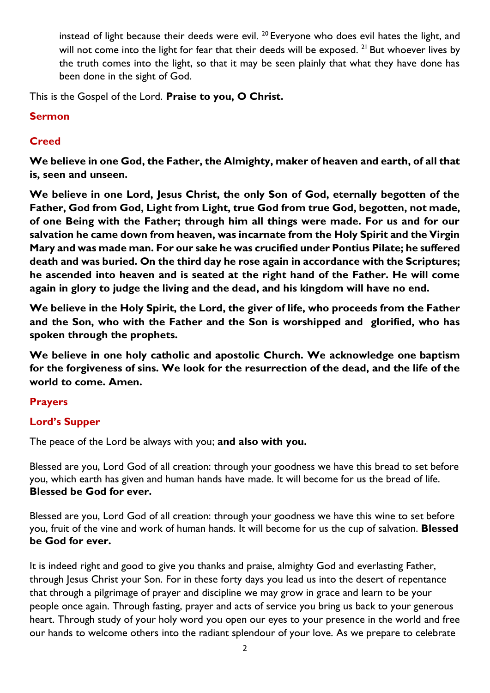instead of light because their deeds were evil.  $^{20}$  Everyone who does evil hates the light, and will not come into the light for fear that their deeds will be exposed. <sup>21</sup> But whoever lives by the truth comes into the light, so that it may be seen plainly that what they have done has been done in the sight of God.

This is the Gospel of the Lord. **Praise to you, O Christ.**

#### **Sermon**

#### **Creed**

**We believe in one God, the Father, the Almighty, maker of heaven and earth, of all that is, seen and unseen.** 

**We believe in one Lord, Jesus Christ, the only Son of God, eternally begotten of the Father, God from God, Light from Light, true God from true God, begotten, not made, of one Being with the Father; through him all things were made. For us and for our salvation he came down from heaven, was incarnate from the Holy Spirit and the Virgin Mary and was made man. For our sake he was crucified under Pontius Pilate; he suffered death and was buried. On the third day he rose again in accordance with the Scriptures; he ascended into heaven and is seated at the right hand of the Father. He will come again in glory to judge the living and the dead, and his kingdom will have no end.**

**We believe in the Holy Spirit, the Lord, the giver of life, who proceeds from the Father and the Son, who with the Father and the Son is worshipped and glorified, who has spoken through the prophets.** 

**We believe in one holy catholic and apostolic Church. We acknowledge one baptism for the forgiveness of sins. We look for the resurrection of the dead, and the life of the world to come. Amen.**

#### **Prayers**

## **Lord's Supper**

The peace of the Lord be always with you; **and also with you.**

Blessed are you, Lord God of all creation: through your goodness we have this bread to set before you, which earth has given and human hands have made. It will become for us the bread of life. **Blessed be God for ever.**

Blessed are you, Lord God of all creation: through your goodness we have this wine to set before you, fruit of the vine and work of human hands. It will become for us the cup of salvation. **Blessed be God for ever.**

It is indeed right and good to give you thanks and praise, almighty God and everlasting Father, through Jesus Christ your Son. For in these forty days you lead us into the desert of repentance that through a pilgrimage of prayer and discipline we may grow in grace and learn to be your people once again. Through fasting, prayer and acts of service you bring us back to your generous heart. Through study of your holy word you open our eyes to your presence in the world and free our hands to welcome others into the radiant splendour of your love. As we prepare to celebrate